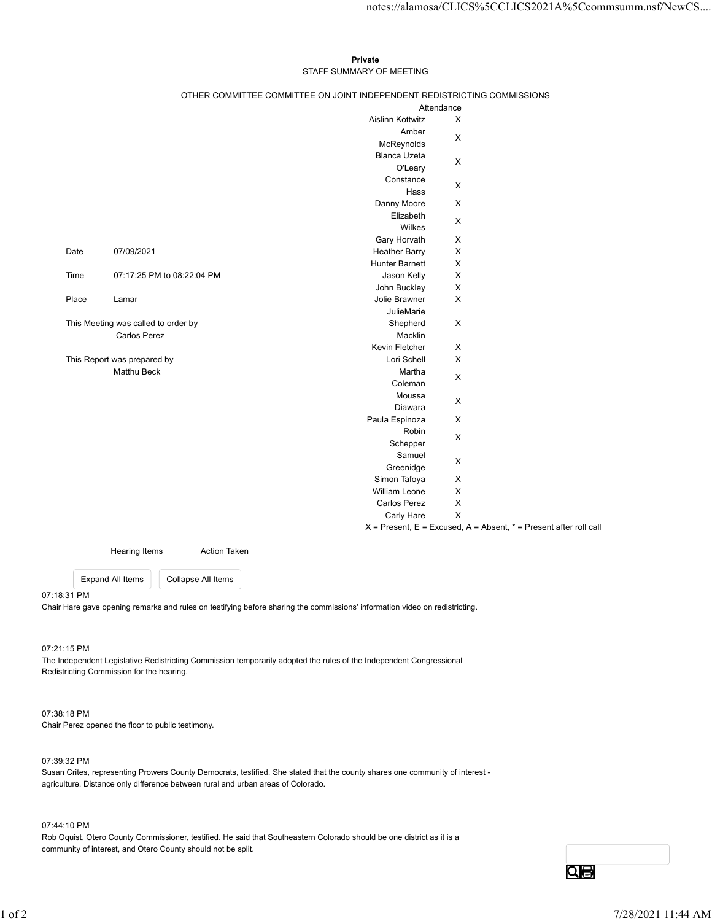#### Private **Private** and *Private* and *Private* and *Private* and *Private* and *Private* and *Private* and *Private* and *Private* and *Private* and *Private* and *Private* and *Private* and *Private* and *Private* and *Pri* STAFF SUMMARY OF MEETING

|       |                                            |                            |                                                                          |                                          | notes://alamosa/CLICS%5CCLICS2021A%5Ccommsumm.nsf/NewCS                   |
|-------|--------------------------------------------|----------------------------|--------------------------------------------------------------------------|------------------------------------------|---------------------------------------------------------------------------|
|       |                                            |                            |                                                                          |                                          |                                                                           |
|       |                                            |                            | Private<br>STAFF SUMMARY OF MEETING                                      |                                          |                                                                           |
|       |                                            |                            | OTHER COMMITTEE COMMITTEE ON JOINT INDEPENDENT REDISTRICTING COMMISSIONS |                                          |                                                                           |
|       |                                            |                            |                                                                          | Attendance<br>$\boldsymbol{\mathsf{X}}$  |                                                                           |
|       |                                            |                            | Aislinn Kottwitz<br>Amber                                                |                                          |                                                                           |
|       |                                            |                            | McReynolds                                                               | $\boldsymbol{\mathsf{X}}$                |                                                                           |
|       |                                            |                            | Blanca Uzeta                                                             | $\boldsymbol{\mathsf{X}}$                |                                                                           |
|       |                                            |                            | O'Leary<br>Constance                                                     |                                          |                                                                           |
|       |                                            |                            | Hass                                                                     | $\mathsf X$                              |                                                                           |
|       |                                            |                            | Danny Moore                                                              | $\mathsf{X}$                             |                                                                           |
|       |                                            |                            | Elizabeth                                                                | X                                        |                                                                           |
|       |                                            |                            | Wilkes<br>Gary Horvath                                                   | $\mathsf{X}$                             |                                                                           |
| Date  | 07/09/2021                                 |                            | <b>Heather Barry</b>                                                     | $\mathsf{X}$                             |                                                                           |
|       |                                            |                            | <b>Hunter Barnett</b>                                                    | $\mathsf{X}$                             |                                                                           |
| Time  |                                            | 07:17:25 PM to 08:22:04 PM | Jason Kelly                                                              | $\boldsymbol{\mathsf{X}}$                |                                                                           |
| Place | Lamar                                      |                            | John Buckley<br>Jolie Brawner                                            | $\mathsf X$<br>$\boldsymbol{\mathsf{X}}$ |                                                                           |
|       |                                            |                            | JulieMarie                                                               |                                          |                                                                           |
|       | This Meeting was called to order by        |                            | Shepherd                                                                 | $\mathsf X$                              |                                                                           |
|       | Carlos Perez                               |                            | Macklin                                                                  |                                          |                                                                           |
|       |                                            |                            | Kevin Fletcher                                                           | $\mathsf{X}$                             |                                                                           |
|       | This Report was prepared by<br>Matthu Beck |                            | Lori Schell<br>Martha                                                    | $\mathsf X$                              |                                                                           |
|       |                                            |                            | Coleman                                                                  | $\mathsf X$                              |                                                                           |
|       |                                            |                            | Moussa                                                                   | $\mathsf X$                              |                                                                           |
|       |                                            |                            | Diawara                                                                  |                                          |                                                                           |
|       |                                            |                            | Paula Espinoza<br>Robin                                                  | $\mathsf X$                              |                                                                           |
|       |                                            |                            | Schepper                                                                 | $\mathsf X$                              |                                                                           |
|       |                                            |                            | Samuel                                                                   | $\mathsf X$                              |                                                                           |
|       |                                            |                            | Greenidge                                                                |                                          |                                                                           |
|       |                                            |                            | Simon Tafoya<br>William Leone                                            | $\mathsf X$<br>$\mathsf X$               |                                                                           |
|       |                                            |                            | Carlos Perez                                                             | $\mathsf X$                              |                                                                           |
|       |                                            |                            | Carly Hare                                                               | $\mathsf X$                              |                                                                           |
|       |                                            |                            |                                                                          |                                          | $X =$ Present, $E =$ Excused, $A =$ Absent, $* =$ Present after roll call |
|       | <b>Hearing Items</b>                       | <b>Action Taken</b>        |                                                                          |                                          |                                                                           |
|       | <b>Expand All Items</b>                    | Collapse All Items         |                                                                          |                                          |                                                                           |
|       |                                            |                            |                                                                          |                                          |                                                                           |

07:18:31 PM

07:21:15 PM

The Independent Legislative Redistricting Commission temporarily adopted the rules of the Independent Congressional Redistricting Commission for the hearing.

### 07:38:18 PM

Chair Perez opened the floor to public testimony.

#### 07:39:32 PM

Susan Crites, representing Prowers County Democrats, testified. She stated that the county shares one community of interest agriculture. Distance only difference between rural and urban areas of Colorado. 07.21:15 PM<br>The loageondant Legislative Redistricting Commission temporarity adopted the rules of the Independent Congressional<br>Redistricting Commission for the hearing.<br>The Paya 2PM<br>Chain Chera copy of the floor to public

07:44:10 PM

Rob Oquist, Otero County Commissioner, testified. He said that Southeastern Colorado should be one district as it is a community of interest, and Otero County should not be split.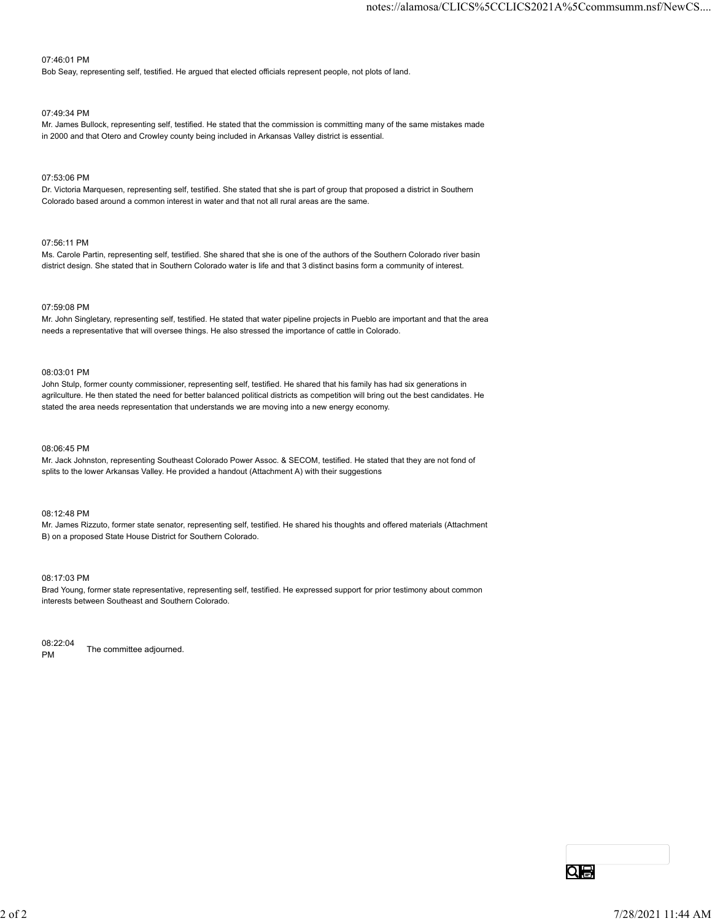#### 07:46:01 PM

Bob Seay, representing self, testified. He argued that elected officials represent people, not plots of land.

#### 07:49:34 PM

Mr. James Bullock, representing self, testified. He stated that the commission is committing many of the same mistakes made in 2000 and that Otero and Crowley county being included in Arkansas Valley district is essential.

#### 07:53:06 PM

Dr. Victoria Marquesen, representing self, testified. She stated that she is part of group that proposed a district in Southern Colorado based around a common interest in water and that not all rural areas are the same.

#### 07:56:11 PM

Ms. Carole Partin, representing self, testified. She shared that she is one of the authors of the Southern Colorado river basin district design. She stated that in Southern Colorado water is life and that 3 distinct basins form a community of interest.

#### 07:59:08 PM

Mr. John Singletary, representing self, testified. He stated that water pipeline projects in Pueblo are important and that the area needs a representative that will oversee things. He also stressed the importance of cattle in Colorado.

#### 08:03:01 PM

John Stulp, former county commissioner, representing self, testified. He shared that his family has had six generations in agrilculture. He then stated the need for better balanced political districts as competition will bring out the best candidates. He stated the area needs representation that understands we are moving into a new energy economy.

#### 08:06:45 PM

Mr. Jack Johnston, representing Southeast Colorado Power Assoc. & SECOM, testified. He stated that they are not fond of splits to the lower Arkansas Valley. He provided a handout (Attachment A) with their suggestions

#### 08:12:48 PM

Mr. James Rizzuto, former state senator, representing self, testified. He shared his thoughts and offered materials (Attachment B) on a proposed State House District for Southern Colorado.

#### 08:17:03 PM

Brad Young, former state representative, representing self, testified. He expressed support for prior testimony about common interests between Southeast and Southern Colorado.

08:22:04 PM The committee adjourned.  $\frac{1}{PA}$  The committee adjourned.<br>  $\frac{1}{PA}$   $\frac{1}{2}$   $\frac{1}{2}$   $\frac{1}{2}$   $\frac{1}{2}$   $\frac{1}{2}$   $\frac{1}{2}$   $\frac{1}{2}$   $\frac{1}{2}$   $\frac{1}{2}$   $\frac{1}{2}$   $\frac{1}{2}$   $\frac{1}{2}$   $\frac{1}{2}$   $\frac{1}{2}$   $\frac{1}{2}$   $\frac{1}{2}$   $\frac{1}{2}$   $\frac{1$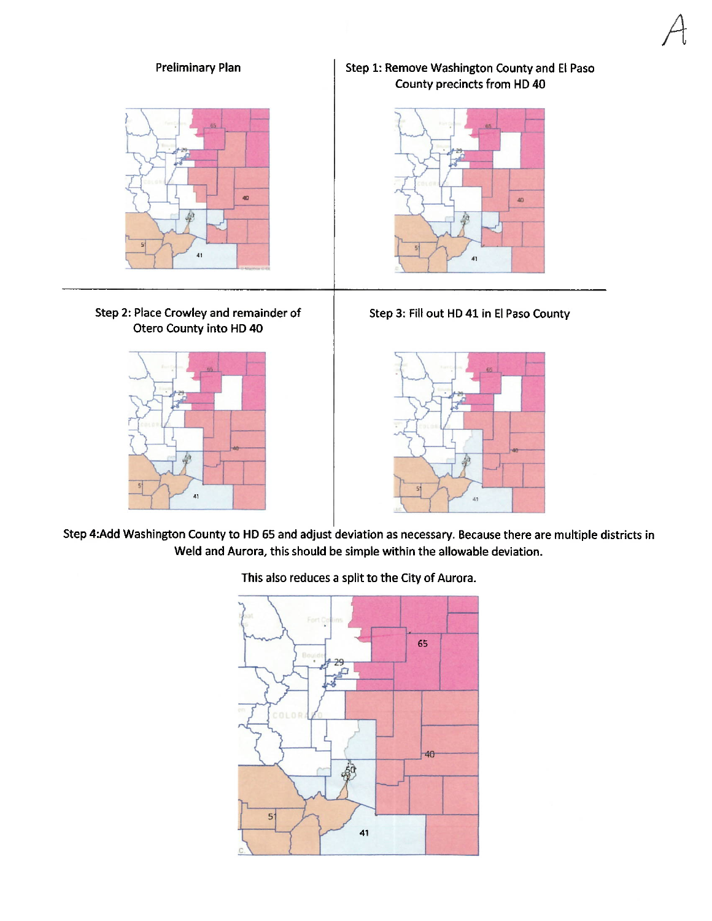

Step 4:Add Washington County to HD 65 and adjust deviation as necessary. Because there are multiple districts in Weld and Aurora, this should be simple within the allowable deviation.



This also reduces a split to the City of Aurora.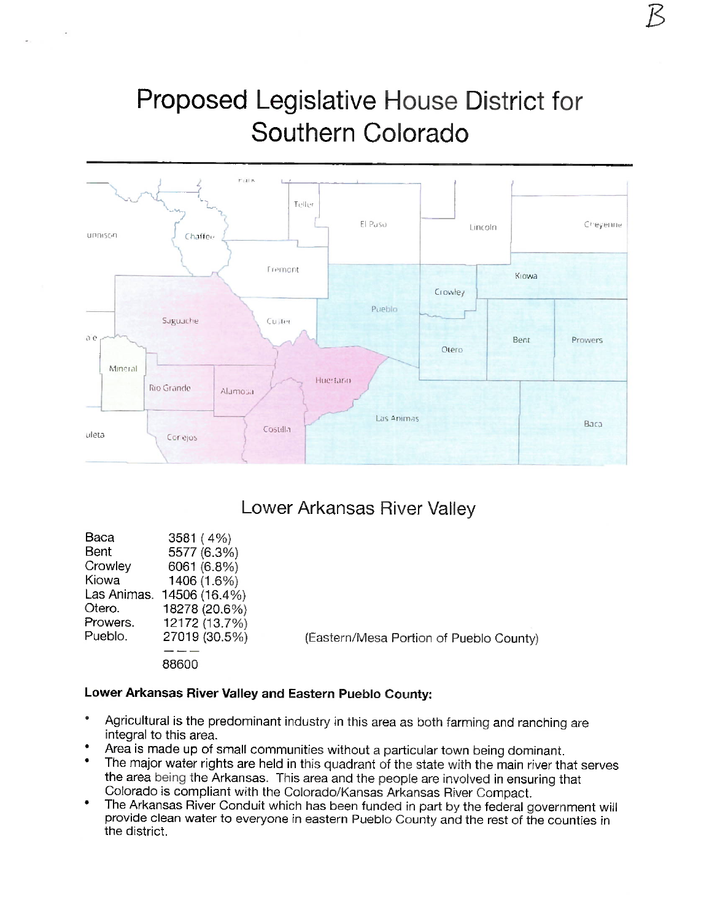# Proposed Legislative House District for Southern Colorado



### Lower Arkansas River Valley

| Baca     | 3581(4%)                  |                                         |
|----------|---------------------------|-----------------------------------------|
| Bent     | 5577 (6.3%)               |                                         |
| Crowley  | 6061 (6.8%)               |                                         |
| Kiowa    | 1406 (1.6%)               |                                         |
|          | Las Animas. 14506 (16.4%) |                                         |
| Otero.   | 18278 (20.6%)             |                                         |
| Prowers. | 12172 (13.7%)             |                                         |
| Pueblo.  | 27019 (30.5%)             | (Eastern/Mesa Portion of Pueblo County) |
|          |                           |                                         |
|          | 88600                     |                                         |

### Lower Arkansas River Valley and Eastern Pueblo County:

- Agricultural is the predominant industry in this area as both farming and ranching are integral to this area.
- Area is made up of small communities without a particular town being dominant.
- The major water rights are held in this quadrant of the state with the main river that serves the area being the Arkansas. This area and the people are involved in ensuring that Colorado is compliant with the Colorado/Kansas Arkansas River Compact.
- The Arkansas River Conduit which has been funded in part by the federal government will provide clean water to everyone in eastern Pueblo County and the rest of the counties in the district.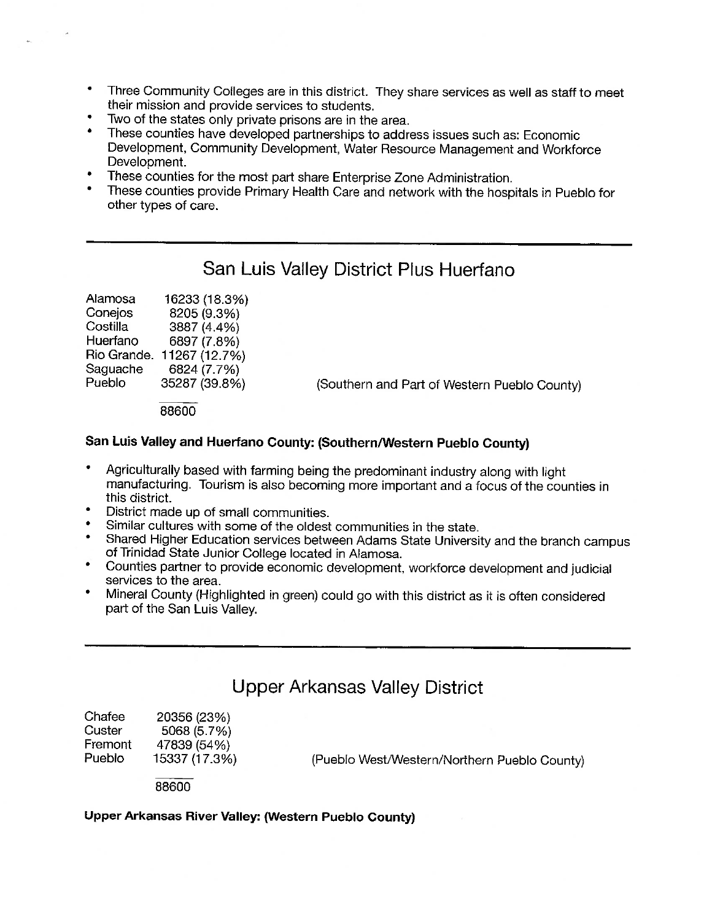- Three Community Colleges are in this district. They share services as well as staff to meet their mission and provide services to students.
- Two of the states only private prisons are in the area.
- These counties have developed partnerships to address issues such as: Economic Development, Community Development, Water Resource Management and Workforce Development.
- These counties for the most part share Enterprise Zone Administration.
- These counties provide Primary Health Care and network with the hospitals in Pueblo for other types of care.

## San Luis Valley District Plus Huerfano

| Alamosa  | 16233 (18.3%)             |                                              |
|----------|---------------------------|----------------------------------------------|
| Conejos  | 8205 (9.3%)               |                                              |
| Costilla | 3887 (4.4%)               |                                              |
| Huerfano | 6897 (7.8%)               |                                              |
|          | Rio Grande. 11267 (12.7%) |                                              |
| Saguache | 6824 (7.7%)               |                                              |
| Pueblo   | 35287 (39.8%)             | (Southern and Part of Western Pueblo County) |

88600

### San Luis Valley and Huerfano County: (Southern/Western Pueblo County)

- Agriculturally based with farming being the predominant industry along with light manufacturing. Tourism is also becoming more important and a focus of the counties in this district.
- District made up of small communities.
- Similar cultures with some of the oldest communities in the state.
- Shared Higher Education services between Adams State University and the branch campus of Trinidad State Junior College located in Alamosa.
- $\bullet$ Counties partner to provide economic development, workforce development and judicial services to the area.
- $\bullet$ Mineral County (Highlighted in green) could go with this district as it is often considered part of the San Luis Valley.

### **Upper Arkansas Valley District**

| 20356 (23%)   |
|---------------|
| 5068 (5.7%)   |
| 47839 (54%)   |
| 15337 (17.3%) |
|               |

(Pueblo West/Western/Northern Pueblo County)

88600

### Upper Arkansas River Valley: (Western Pueblo County)